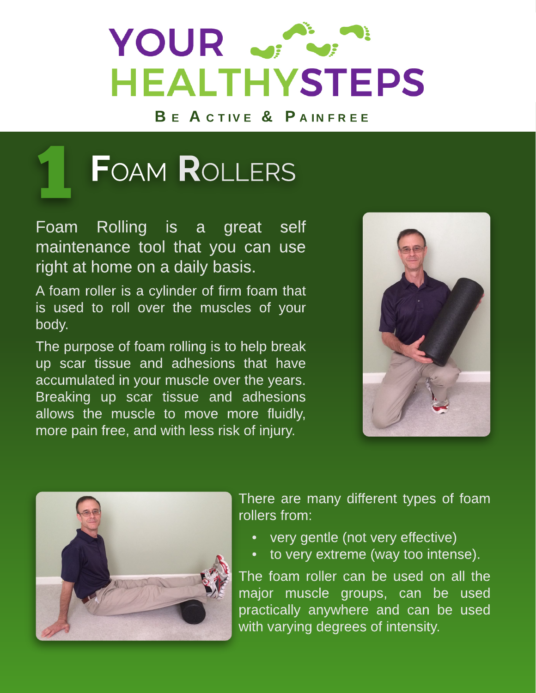# YOUR with **HEALTHYSTEPS**

BE ACTIVE & PAINFREE



Foam Rolling is a great self maintenance tool that you can use right at home on a daily basis.

A foam roller is a cylinder of firm foam that is used to roll over the muscles of your body.

The purpose of foam rolling is to help break up scar tissue and adhesions that have accumulated in your muscle over the years. Breaking up scar tissue and adhesions allows the muscle to move more fluidly, more pain free, and with less risk of injury.





There are many different types of foam rollers from:

- very gentle (not very effective)
- to very extreme (way too intense).

The foam roller can be used on all the major muscle groups, can be used practically anywhere and can be used with varying degrees of intensity.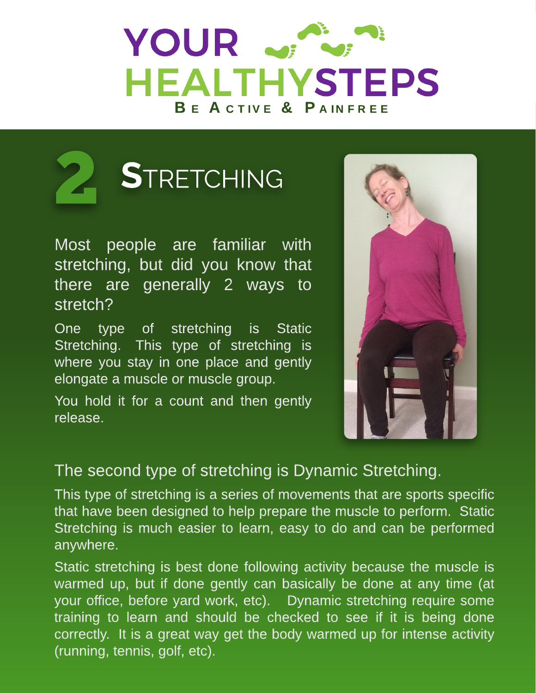## YOUR JA **HEALTHYSTEPS** B E A C TIVE & PAINERFE



Most people are familiar with stretching, but did you know that there are generally 2 ways to stretch?

One type of stretching is Static Stretching. This type of stretching is where you stay in one place and gently elongate a muscle or muscle group.

You hold it for a count and then gently release.



### The second type of stretching is Dynamic Stretching.

This type of stretching is a series of movements that are sports specific that have been designed to help prepare the muscle to perform. Static Stretching is much easier to learn, easy to do and can be performed anywhere.

Static stretching is best done following activity because the muscle is warmed up, but if done gently can basically be done at any time (at your office, before yard work, etc). Dynamic stretching require some training to learn and should be checked to see if it is being done correctly. It is a great way get the body warmed up for intense activity (running, tennis, golf, etc).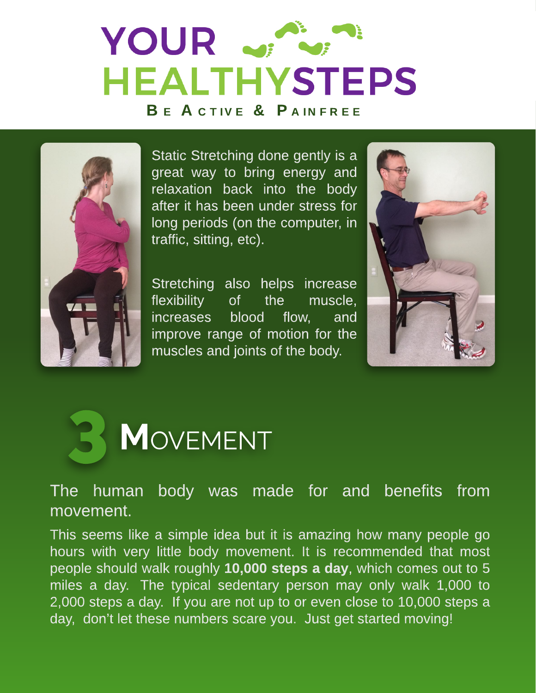# YOUR SPL **HEALTHYSTEPS** BE ACTIVE & PAINFREE



Static Stretching done gently is a great way to bring energy and relaxation back into the body after it has been under stress for long periods (on the computer, in traffic, sitting, etc).

Stretching also helps increase flexibility of the muscle, increases blood flow, and improve range of motion for the muscles and joints of the body.





The human body was made for and benefits from movement.

This seems like a simple idea but it is amazing how many people go hours with very little body movement. It is recommended that most people should walk roughly 10,000 steps a day, which comes out to 5 miles a day. The typical sedentary person may only walk 1,000 to 2,000 steps a day. If you are not up to or even close to 10,000 steps a day, don't let these numbers scare you. Just get started moving!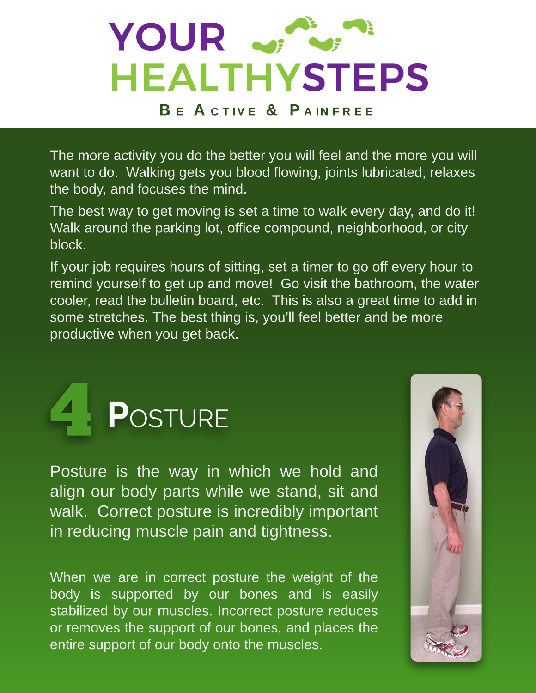

The more activity you do the better you will feel and the more you will want to do. Walking gets you blood flowing, joints lubricated, relaxes the body, and focuses the mind.

The best way to get moving is set a time to walk every day, and do it! Walk around the parking lot, office compound, neighborhood, or city block.

If your job requires hours of sitting, set a timer to go off every hour to remind yourself to get up and move! Go visit the bathroom, the water cooler, read the bulletin board, etc. This is also a great time to add in some stretches. The best thing is, you?ll feel better and be more productive when you get back.



Posture is the way in which we hold and align our body parts while we stand, sit and walk. Correct posture is incredibly important in reducing muscle pain and tightness.

When we are in correct posture the weight of the body is supported by our bones and is easily stabilized by our muscles. Incorrect posture reduces or removes the support of our bones, and places the entire support of our body onto the muscles.

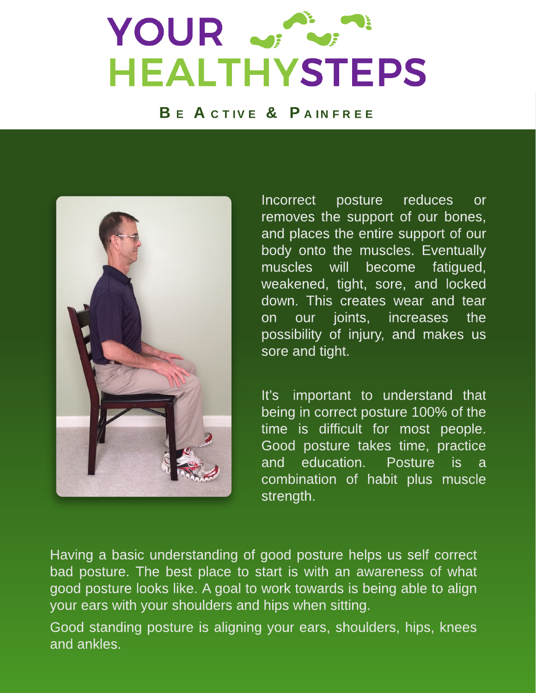### YOUR J. Inc. B E A E H H H Y H E H

#### BE ACTIVE & PAINFREE



Incorrect posture reduces or removes the support of our bones, and places the entire support of our body onto the muscles. Eventually muscles will become fatigued, weakened, tight, sore, and locked down. This creates wear and tear on our joints, increases the possibility of injury, and makes us sore and tight.

It?s important to understand that being in correct posture 100% of the time is difficult for most people. Good posture takes time, practice and education. Posture is a combination of habit plus muscle strength.

Having a basic understanding of good posture helps us self correct bad posture. The best place to start is with an awareness of what good posture looks like. A goal to work towards is being able to align your ears with your shoulders and hips when sitting.

Good standing posture is aligning your ears, shoulders, hips, knees and ankles.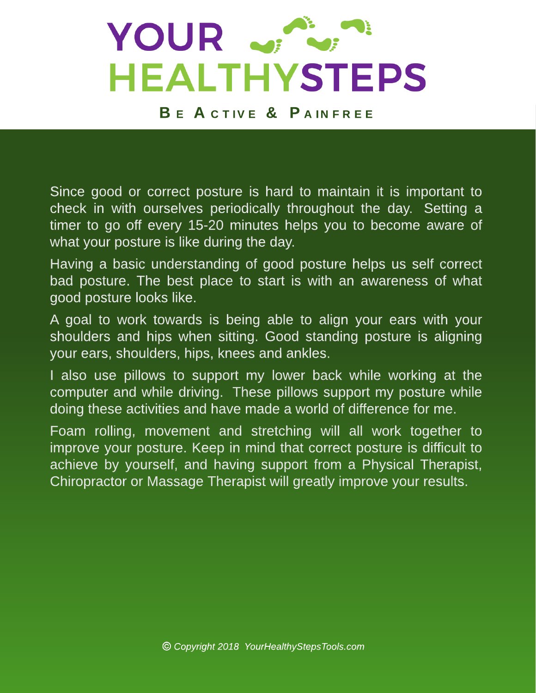

BE ACTIVE & PAINFREE

Since good or correct posture is hard to maintain it is important to check in with ourselves periodically throughout the day. Setting a timer to go off every 15-20 minutes helps you to become aware of what your posture is like during the day.

Having a basic understanding of good posture helps us self correct bad posture. The best place to start is with an awareness of what good posture looks like.

A goal to work towards is being able to align your ears with your shoulders and hips when sitting. Good standing posture is aligning your ears, shoulders, hips, knees and ankles.

I also use pillows to support my lower back while working at the computer and while driving. These pillows support my posture while doing these activities and have made a world of difference for me.

Foam rolling, movement and stretching will all work together to improve your posture. Keep in mind that correct posture is difficult to achieve by yourself, and having support from a Physical Therapist, Chiropractor or Massage Therapist will greatly improve your results.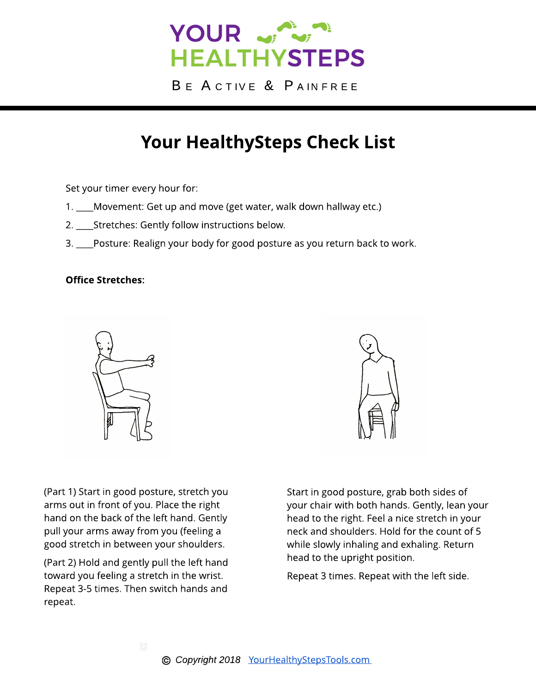

BE ACTIVE & PAINFREE

### Your HealthySteps Check List

Set your timer every hour for:

- 1. \_\_\_\_Movement: Get up and move (get water, walk down hallway etc.)
- 2. \_\_\_\_Stretches: Gently follow instructions below.
- 3. \_\_\_\_Posture: Realign your body for good posture as you return back to work.

#### **Office Stretches:**



(Part 1) Start in good posture, stretch you arms out in front of you. Place the right hand on the back of the left hand. Gently pull your arms away from you (feeling a good stretch in between your shoulders.

(Part 2) Hold and gently pull the left hand toward you feeling a stretch in the wrist. Repeat 3-5 times. Then switch hands and repeat.

Start in good posture, grab both sides of your chair with both hands. Gently, lean your head to the right. Feel a nice stretch in your neck and shoulders. Hold for the count of 5 while slowly inhaling and exhaling. Return head to the upright position.

Repeat 3 times. Repeat with the left side.